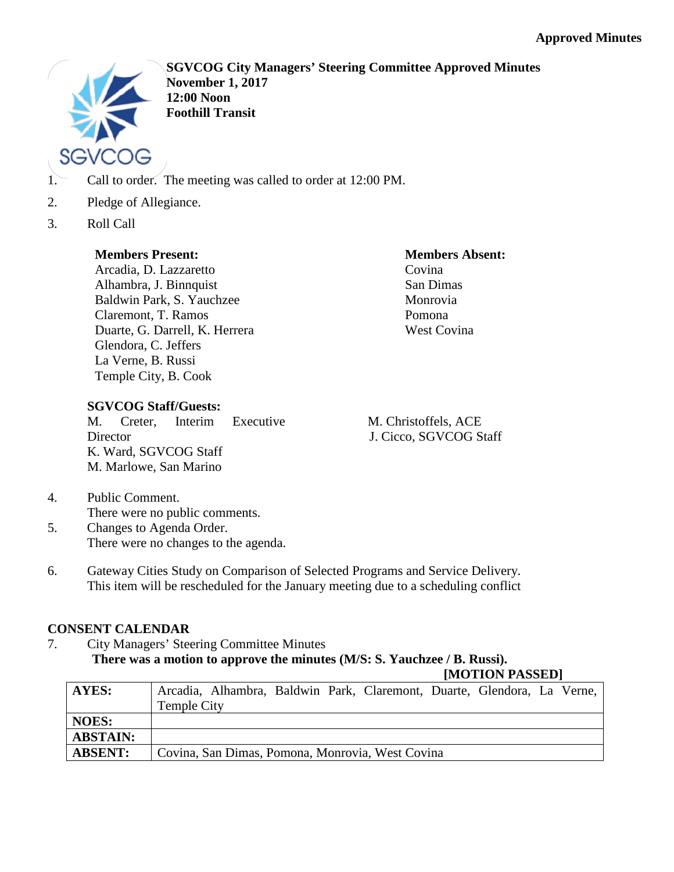

**SGVCOG City Managers' Steering Committee Approved Minutes November 1, 2017 12:00 Noon Foothill Transit**

- 1. Call to order. The meeting was called to order at 12:00 PM.
- 2. Pledge of Allegiance.
- 3. Roll Call

## **Members Present:**

Arcadia, D. Lazzaretto Alhambra, J. Binnquist Baldwin Park, S. Yauchzee Claremont, T. Ramos Duarte, G. Darrell, K. Herrera Glendora, C. Jeffers La Verne, B. Russi Temple City, B. Cook

M. Creter, Interim Executive

#### **Members Absent:** Covina San Dimas Monrovia Pomona West Covina

M. Christoffels, ACE J. Cicco, SGVCOG Staff

4. Public Comment. There were no public comments. 5. Changes to Agenda Order.

**SGVCOG Staff/Guests:**

K. Ward, SGVCOG Staff M. Marlowe, San Marino

- There were no changes to the agenda.
- 6. Gateway Cities Study on Comparison of Selected Programs and Service Delivery. This item will be rescheduled for the January meeting due to a scheduling conflict

# **CONSENT CALENDAR**

**Director** 

7. City Managers' Steering Committee Minutes **There was a motion to approve the minutes (M/S: S. Yauchzee / B. Russi).**

**[MOTION PASSED]**

| AYES:           | Arcadia, Alhambra, Baldwin Park, Claremont, Duarte, Glendora, La Verne, |
|-----------------|-------------------------------------------------------------------------|
|                 | <b>Temple City</b>                                                      |
| <b>NOES:</b>    |                                                                         |
| <b>ABSTAIN:</b> |                                                                         |
| <b>ABSENT:</b>  | Covina, San Dimas, Pomona, Monrovia, West Covina                        |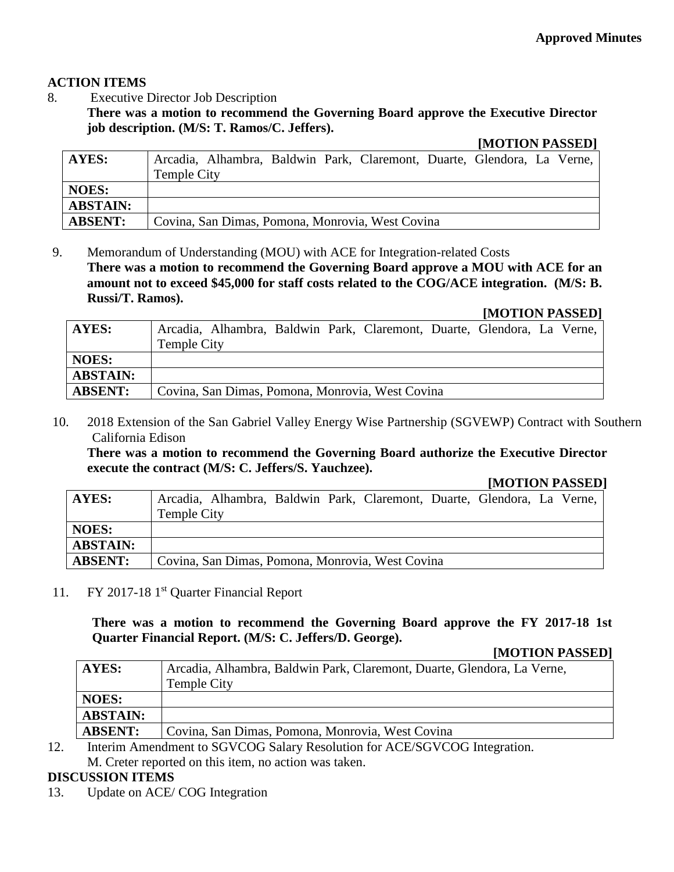## **ACTION ITEMS**

8. Executive Director Job Description **There was a motion to recommend the Governing Board approve the Executive Director job description. (M/S: T. Ramos/C. Jeffers).**

#### **[MOTION PASSED]**

| <b>AYES:</b>    |             |  | Arcadia, Alhambra, Baldwin Park, Claremont, Duarte, Glendora, La Verne, |  |  |
|-----------------|-------------|--|-------------------------------------------------------------------------|--|--|
|                 | Temple City |  |                                                                         |  |  |
| NOES:           |             |  |                                                                         |  |  |
| <b>ABSTAIN:</b> |             |  |                                                                         |  |  |
| <b>ABSENT:</b>  |             |  | Covina, San Dimas, Pomona, Monrovia, West Covina                        |  |  |

9. Memorandum of Understanding (MOU) with ACE for Integration-related Costs **There was a motion to recommend the Governing Board approve a MOU with ACE for an amount not to exceed \$45,000 for staff costs related to the COG/ACE integration. (M/S: B. Russi/T. Ramos).**

#### **[MOTION PASSED]**

| AYES:           | Arcadia, Alhambra, Baldwin Park, Claremont, Duarte, Glendora, La Verne, |
|-----------------|-------------------------------------------------------------------------|
|                 | <b>Temple City</b>                                                      |
| <b>NOES:</b>    |                                                                         |
| <b>ABSTAIN:</b> |                                                                         |
| <b>ABSENT:</b>  | Covina, San Dimas, Pomona, Monrovia, West Covina                        |

10. 2018 Extension of the San Gabriel Valley Energy Wise Partnership (SGVEWP) Contract with Southern California Edison

**There was a motion to recommend the Governing Board authorize the Executive Director execute the contract (M/S: C. Jeffers/S. Yauchzee).**

#### **[MOTION PASSED]**

| AYES:           | Arcadia, Alhambra, Baldwin Park, Claremont, Duarte, Glendora, La Verne, |  |  |  |  |
|-----------------|-------------------------------------------------------------------------|--|--|--|--|
|                 | Temple City                                                             |  |  |  |  |
| <b>NOES:</b>    |                                                                         |  |  |  |  |
| <b>ABSTAIN:</b> |                                                                         |  |  |  |  |
| <b>ABSENT:</b>  | Covina, San Dimas, Pomona, Monrovia, West Covina                        |  |  |  |  |

11. FY 2017-18 1<sup>st</sup> Quarter Financial Report

**There was a motion to recommend the Governing Board approve the FY 2017-18 1st Quarter Financial Report. (M/S: C. Jeffers/D. George).**

#### **[MOTION PASSED]**

| Arcadia, Alhambra, Baldwin Park, Claremont, Duarte, Glendora, La Verne, |
|-------------------------------------------------------------------------|
| Temple City                                                             |
|                                                                         |
|                                                                         |
| Covina, San Dimas, Pomona, Monrovia, West Covina                        |
|                                                                         |

12. Interim Amendment to SGVCOG Salary Resolution for ACE/SGVCOG Integration. M. Creter reported on this item, no action was taken.

## **DISCUSSION ITEMS**

13. Update on ACE/ COG Integration